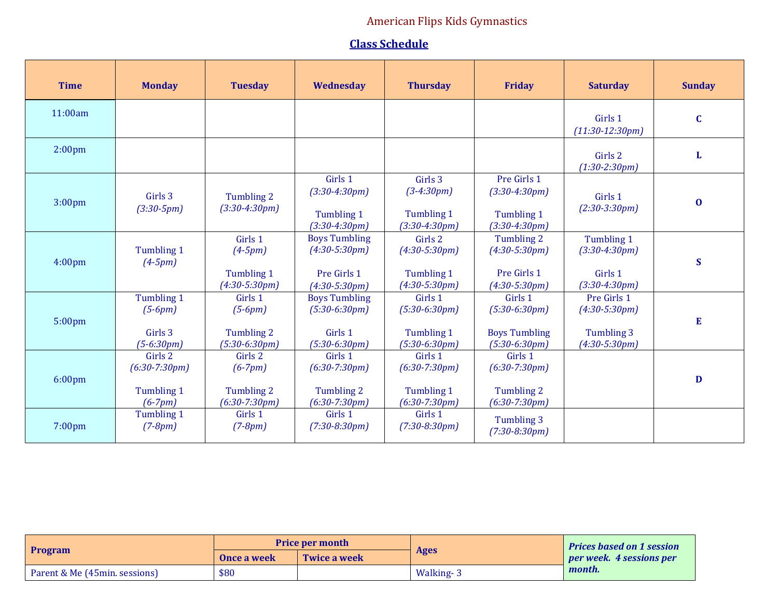## American Flips Kids Gymnastics

## **Class Schedule**

| <b>Time</b>        | <b>Monday</b>                                         | <b>Tuesday</b>                                        | Wednesday                                                                 | <b>Thursday</b>                                             | <b>Friday</b>                                                         | <b>Saturday</b>                                                 | <b>Sunday</b> |
|--------------------|-------------------------------------------------------|-------------------------------------------------------|---------------------------------------------------------------------------|-------------------------------------------------------------|-----------------------------------------------------------------------|-----------------------------------------------------------------|---------------|
| 11:00am            |                                                       |                                                       |                                                                           |                                                             |                                                                       | Girls 1<br>$(11:30-12:30pm)$                                    | $\mathbf C$   |
| 2:00 <sub>pm</sub> |                                                       |                                                       |                                                                           |                                                             |                                                                       | Girls 2<br>$(1:30-2:30pm)$                                      | L             |
| 3:00 <sub>pm</sub> | Girls 3<br>$(3:30-5pm)$                               | Tumbling 2<br>$(3:30-4:30pm)$                         | Girls 1<br>$(3:30-4:30pm)$<br>Tumbling 1<br>$(3:30-4:30pm)$               | Girls 3<br>$(3-4:30pm)$<br>Tumbling 1<br>$(3:30-4:30pm)$    | Pre Girls 1<br>$(3:30-4:30pm)$<br>Tumbling 1<br>$(3:30-4:30pm)$       | Girls 1<br>$(2:30-3:30pm)$                                      | $\bf{0}$      |
| 4:00 <sub>pm</sub> | Tumbling 1<br>$(4-5pm)$                               | Girls 1<br>$(4-5pm)$<br>Tumbling 1<br>$(4:30-5:30pm)$ | <b>Boys Tumbling</b><br>$(4:30-5:30pm)$<br>Pre Girls 1<br>$(4:30-5:30pm)$ | Girls 2<br>$(4:30-5:30pm)$<br>Tumbling 1<br>$(4:30-5:30pm)$ | Tumbling 2<br>$(4:30-5:30pm)$<br>Pre Girls 1<br>$(4:30-5:30pm)$       | Tumbling 1<br>$(3:30-4:30pm)$<br>Girls 1<br>$(3:30-4:30pm)$     | S             |
| 5:00pm             | Tumbling 1<br>$(5-6pm)$<br>Girls 3<br>$(5-6:30pm)$    | Girls 1<br>$(5-6pm)$<br>Tumbling 2<br>$(5:30-6:30pm)$ | <b>Boys Tumbling</b><br>$(5:30-6:30pm)$<br>Girls 1<br>$(5:30-6:30pm)$     | Girls 1<br>$(5:30-6:30pm)$<br>Tumbling 1<br>$(5:30-6:30pm)$ | Girls 1<br>$(5:30-6:30pm)$<br><b>Boys Tumbling</b><br>$(5:30-6:30pm)$ | Pre Girls 1<br>$(4:30-5:30pm)$<br>Tumbling 3<br>$(4:30-5:30pm)$ | E             |
| $6:00$ pm          | Girls 2<br>$(6:30-7:30pm)$<br>Tumbling 1<br>$(6-7pm)$ | Girls 2<br>$(6-7pm)$<br>Tumbling 2<br>$(6:30-7:30pm)$ | Girls 1<br>$(6:30-7:30pm)$<br>Tumbling 2<br>$(6:30-7:30pm)$               | Girls 1<br>$(6:30-7:30pm)$<br>Tumbling 1<br>$(6:30-7:30pm)$ | Girls 1<br>$(6:30-7:30pm)$<br>Tumbling 2<br>$(6:30-7:30pm)$           |                                                                 | D             |
| 7:00 <sub>pm</sub> | Tumbling 1<br>$(7-8pm)$                               | Girls 1<br>$(7-8pm)$                                  | Girls 1<br>$(7:30-8:30pm)$                                                | Girls 1<br>$(7:30-8:30pm)$                                  | Tumbling 3<br>$(7:30-8:30pm)$                                         |                                                                 |               |

|                               |             | <b>Price per month</b> |             | <b>Prices based on 1 session</b> |
|-------------------------------|-------------|------------------------|-------------|----------------------------------|
| <b>Program</b>                | Once a week | Twice a week           | <b>Ages</b> | <i>per week.</i> 4 sessions per  |
| Parent & Me (45min, sessions) | \$80        |                        | Walking-3   | month.                           |